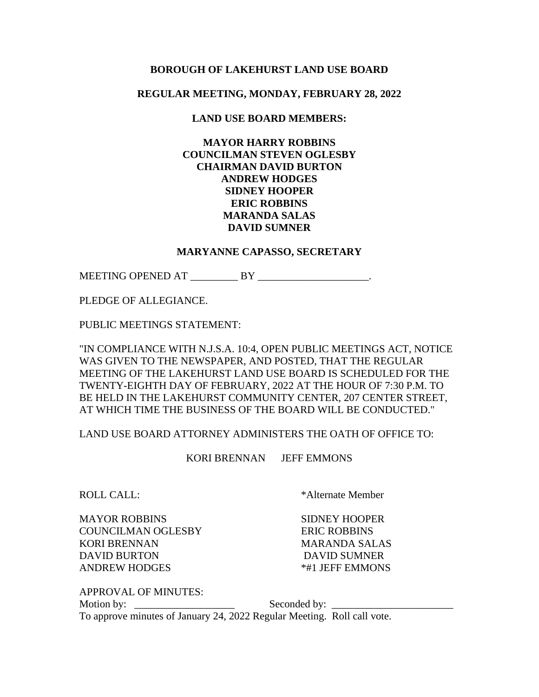### **BOROUGH OF LAKEHURST LAND USE BOARD**

## **REGULAR MEETING, MONDAY, FEBRUARY 28, 2022**

# **LAND USE BOARD MEMBERS:**

# **MAYOR HARRY ROBBINS COUNCILMAN STEVEN OGLESBY CHAIRMAN DAVID BURTON ANDREW HODGES SIDNEY HOOPER ERIC ROBBINS MARANDA SALAS DAVID SUMNER**

#### **MARYANNE CAPASSO, SECRETARY**

MEETING OPENED AT \_\_\_\_\_\_\_\_\_\_ BY \_\_\_\_\_\_\_\_\_\_\_\_\_\_\_\_\_\_\_.

PLEDGE OF ALLEGIANCE.

PUBLIC MEETINGS STATEMENT:

"IN COMPLIANCE WITH N.J.S.A. 10:4, OPEN PUBLIC MEETINGS ACT, NOTICE WAS GIVEN TO THE NEWSPAPER, AND POSTED, THAT THE REGULAR MEETING OF THE LAKEHURST LAND USE BOARD IS SCHEDULED FOR THE TWENTY-EIGHTH DAY OF FEBRUARY, 2022 AT THE HOUR OF 7:30 P.M. TO BE HELD IN THE LAKEHURST COMMUNITY CENTER, 207 CENTER STREET, AT WHICH TIME THE BUSINESS OF THE BOARD WILL BE CONDUCTED."

LAND USE BOARD ATTORNEY ADMINISTERS THE OATH OF OFFICE TO:

KORI BRENNAN JEFF EMMONS

MAYOR ROBBINS SIDNEY HOOPER COUNCILMAN OGLESBY ERIC ROBBINS KORI BRENNAN MARANDA SALAS DAVID BURTON DAVID SUMNER

ROLL CALL: \* \* Alternate Member

ANDREW HODGES  $*#1$  JEFF EMMONS

APPROVAL OF MINUTES: Motion by: \_\_\_\_\_\_\_\_\_\_\_\_\_\_\_\_\_\_\_ Seconded by: \_\_\_\_\_\_\_\_\_\_\_\_\_\_\_\_\_\_\_\_\_\_\_ To approve minutes of January 24, 2022 Regular Meeting. Roll call vote.